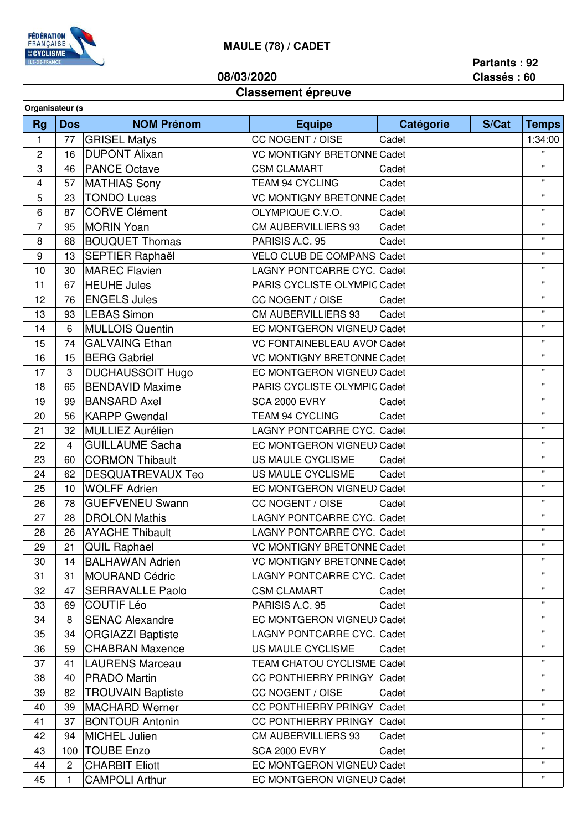

## **MAULE (78) / CADET**

**08/03/2020**

**Partants : 92 Classés : 60**

## **Classement épreuve**

| Organisateur (s |              |                          |                                   |           |       |              |  |
|-----------------|--------------|--------------------------|-----------------------------------|-----------|-------|--------------|--|
| <b>Rg</b>       | <b>Dos</b>   | <b>NOM Prénom</b>        | <b>Equipe</b>                     | Catégorie | S/Cat | <b>Temps</b> |  |
| $\mathbf{1}$    | 77           | <b>GRISEL Matys</b>      | CC NOGENT / OISE                  | Cadet     |       | 1:34:00      |  |
| 2               | 16           | <b>DUPONT Alixan</b>     | VC MONTIGNY BRETONNE Cadet        |           |       | $\mathbf{u}$ |  |
| 3               | 46           | <b>PANCE Octave</b>      | <b>CSM CLAMART</b>                | Cadet     |       | $\mathbf{H}$ |  |
| 4               | 57           | <b>MATHIAS Sony</b>      | <b>TEAM 94 CYCLING</b>            | Cadet     |       | $\mathbf{H}$ |  |
| 5               | 23           | <b>TONDO Lucas</b>       | VC MONTIGNY BRETONNE Cadet        |           |       | $\mathbf{H}$ |  |
| 6               | 87           | <b>CORVE Clément</b>     | OLYMPIQUE C.V.O.                  | Cadet     |       | H.           |  |
| 7               | 95           | <b>MORIN Yoan</b>        | <b>CM AUBERVILLIERS 93</b>        | Cadet     |       | $\mathbf{H}$ |  |
| 8               | 68           | <b>BOUQUET Thomas</b>    | PARISIS A.C. 95                   | Cadet     |       | $\mathbf{H}$ |  |
| 9               | 13           | <b>SEPTIER Raphaël</b>   | VELO CLUB DE COMPANS Cadet        |           |       | $\mathbf{H}$ |  |
| 10              | 30           | <b>MAREC Flavien</b>     | LAGNY PONTCARRE CYC. Cadet        |           |       | $\mathbf{H}$ |  |
| 11              | 67           | <b>HEUHE Jules</b>       | PARIS CYCLISTE OLYMPIC Cadet      |           |       | $\mathbf{H}$ |  |
| 12              | 76           | <b>ENGELS Jules</b>      | CC NOGENT / OISE                  | Cadet     |       | $\mathbf{H}$ |  |
| 13              | 93           | <b>LEBAS Simon</b>       | <b>CM AUBERVILLIERS 93</b>        | Cadet     |       | $\mathbf{H}$ |  |
| 14              | 6            | <b>MULLOIS Quentin</b>   | EC MONTGERON VIGNEUX Cadet        |           |       | $\mathbf{H}$ |  |
| 15              | 74           | <b>GALVAING Ethan</b>    | VC FONTAINEBLEAU AVONCadet        |           |       | $\mathbf{H}$ |  |
| 16              | 15           | <b>BERG Gabriel</b>      | VC MONTIGNY BRETONNE Cadet        |           |       | $\mathbf{H}$ |  |
| 17              | 3            | <b>DUCHAUSSOIT Hugo</b>  | EC MONTGERON VIGNEUX Cadet        |           |       | $\mathbf{H}$ |  |
| 18              | 65           | <b>BENDAVID Maxime</b>   | PARIS CYCLISTE OLYMPIC Cadet      |           |       | $\mathbf{H}$ |  |
| 19              | 99           | <b>BANSARD Axel</b>      | <b>SCA 2000 EVRY</b>              | Cadet     |       | H.           |  |
| 20              | 56           | <b>KARPP Gwendal</b>     | <b>TEAM 94 CYCLING</b>            | Cadet     |       | $\mathbf{H}$ |  |
| 21              | 32           | <b>MULLIEZ Aurélien</b>  | LAGNY PONTCARRE CYC. Cadet        |           |       | $\mathbf{H}$ |  |
| 22              | 4            | <b>GUILLAUME Sacha</b>   | EC MONTGERON VIGNEUX Cadet        |           |       | $\mathbf{H}$ |  |
| 23              | 60           | <b>CORMON Thibault</b>   | US MAULE CYCLISME                 | Cadet     |       | $\mathbf{H}$ |  |
| 24              | 62           | <b>DESQUATREVAUX Teo</b> | US MAULE CYCLISME                 | Cadet     |       | $\mathbf{H}$ |  |
| 25              | 10           | <b>WOLFF Adrien</b>      | EC MONTGERON VIGNEUX Cadet        |           |       | $\mathbf{H}$ |  |
| 26              | 78           | <b>GUEFVENEU Swann</b>   | CC NOGENT / OISE                  | Cadet     |       | $\mathbf{H}$ |  |
| 27              | 28           | <b>DROLON Mathis</b>     | LAGNY PONTCARRE CYC. Cadet        |           |       | $\mathbf{H}$ |  |
| 28              | 26           | <b>AYACHE Thibault</b>   | LAGNY PONTCARRE CYC. Cadet        |           |       | $\mathbf{H}$ |  |
| 29              |              | 21   QUIL Raphael        | VC MONTIGNY BRETONNE Cadet        |           |       | $\mathbf{H}$ |  |
| 30              | 14           | <b>BALHAWAN Adrien</b>   | <b>VC MONTIGNY BRETONNE Cadet</b> |           |       | $\mathbf{H}$ |  |
| 31              | 31           | <b>MOURAND Cédric</b>    | LAGNY PONTCARRE CYC. Cadet        |           |       | $\mathbf{H}$ |  |
| 32              | 47           | <b>SERRAVALLE Paolo</b>  | <b>CSM CLAMART</b>                | Cadet     |       | $\mathbf{H}$ |  |
| 33              | 69           | <b>COUTIF Léo</b>        | PARISIS A.C. 95                   | Cadet     |       | $\mathbf{H}$ |  |
| 34              | 8            | <b>SENAC Alexandre</b>   | EC MONTGERON VIGNEUX Cadet        |           |       | $\mathbf{H}$ |  |
| 35              | 34           | <b>ORGIAZZI Baptiste</b> | LAGNY PONTCARRE CYC. Cadet        |           |       | $\mathbf{H}$ |  |
| 36              | 59           | <b>CHABRAN Maxence</b>   | US MAULE CYCLISME                 | Cadet     |       | $\mathbf{H}$ |  |
| 37              | 41           | <b>LAURENS Marceau</b>   | TEAM CHATOU CYCLISME Cadet        |           |       | π.           |  |
| 38              | 40           | <b>PRADO Martin</b>      | CC PONTHIERRY PRINGY Cadet        |           |       | $\mathbf{H}$ |  |
| 39              | 82           | <b>TROUVAIN Baptiste</b> | CC NOGENT / OISE                  | Cadet     |       | Π.           |  |
| 40              | 39           | <b>MACHARD Werner</b>    | CC PONTHIERRY PRINGY Cadet        |           |       | $\mathbf{H}$ |  |
| 41              | 37           | <b>BONTOUR Antonin</b>   | CC PONTHIERRY PRINGY Cadet        |           |       | π.           |  |
| 42              | 94           | <b>MICHEL Julien</b>     | <b>CM AUBERVILLIERS 93</b>        | Cadet     |       | $\mathbf{H}$ |  |
| 43              | 100          | <b>TOUBE Enzo</b>        | <b>SCA 2000 EVRY</b>              | Cadet     |       | $\mathbf{H}$ |  |
| 44              | $\mathbf{2}$ | <b>CHARBIT Eliott</b>    | EC MONTGERON VIGNEUX Cadet        |           |       | $\mathbf{H}$ |  |
| 45              | 1            | <b>CAMPOLI Arthur</b>    | EC MONTGERON VIGNEUX Cadet        |           |       | Π.           |  |